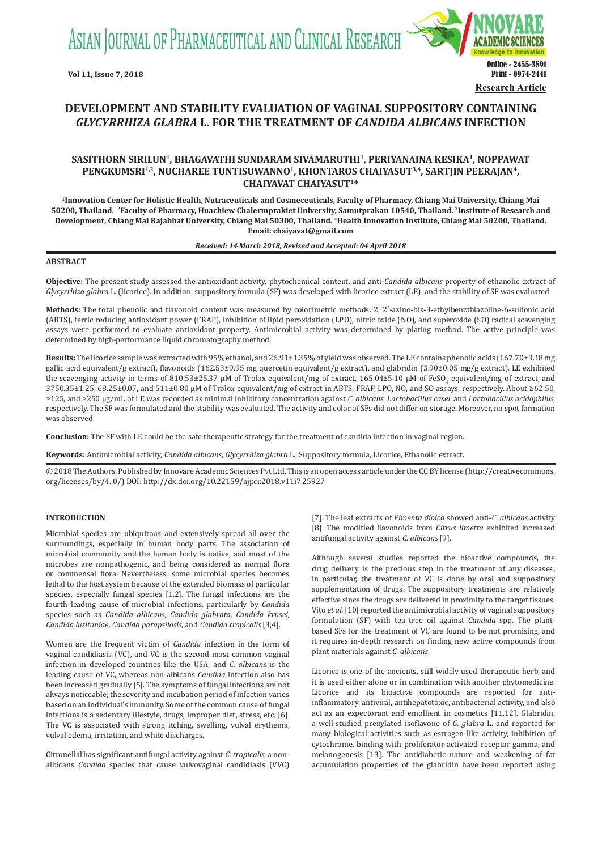ASIAN JOURNAL OF PHARMACEUTICAL AND CLINICAL RESEARCH



# **DEVELOPMENT AND STABILITY EVALUATION OF VAGINAL SUPPOSITORY CONTAINING**  *GLYCYRRHIZA GLABRA* **L. FOR THE TREATMENT OF** *CANDIDA ALBICANS* **INFECTION**

## SASITHORN SIRILUN<sup>1</sup>, BHAGAVATHI SUNDARAM SIVAMARUTHI<sup>1</sup>, PERIYANAINA KESIKA<sup>1</sup>, NOPPAWAT PENGKUMSRI<sup>1,2</sup>, NUCHAREE TUNTISUWANNO<sup>1</sup>, KHONTAROS CHAIYASUT<sup>3,4</sup>, SARTJIN PEERAJAN<sup>4</sup>, **CHAIYAVAT CHAIYASUT1\***

**1Innovation Center for Holistic Health, Nutraceuticals and Cosmeceuticals, Faculty of Pharmacy, Chiang Mai University, Chiang Mai 50200, Thailand. 2Faculty of Pharmacy, Huachiew Chalermprakiet University, Samutprakan 10540, Thailand. 3Institute of Research and Development, Chiang Mai Rajabhat University, Chiang Mai 50300, Thailand. 4Health Innovation Institute, Chiang Mai 50200, Thailand. Email: chaiyavat@gmail.com**

#### *Received: 14 March 2018, Revised and Accepted: 04 April 2018*

### **ABSTRACT**

**Objective:** The present study assessed the antioxidant activity, phytochemical content, and anti-*Candida albicans* property of ethanolic extract of *Glycyrrhiza glabra* L. (licorice). In addition, suppository formula (SF) was developed with licorice extract (LE), and the stability of SF was evaluated.

Methods: The total phenolic and flavonoid content was measured by colorimetric methods. 2, 2'-azino-bis-3-ethylbenzthiazoline-6-sulfonic acid (ABTS), ferric reducing antioxidant power (FRAP), inhibition of lipid peroxidation (LPO), nitric oxide (NO), and superoxide (SO) radical scavenging assays were performed to evaluate antioxidant property. Antimicrobial activity was determined by plating method. The active principle was determined by high-performance liquid chromatography method.

**Results:** The licorice sample was extracted with 95% ethanol, and 26.91±1.35% of yield was observed. The LE contains phenolic acids (167.70±3.18 mg gallic acid equivalent/g extract), flavonoids (162.53±9.95 mg quercetin equivalent/g extract), and glabridin (3.90±0.05 mg/g extract). LE exhibited the scavenging activity in terms of 810.53±25.37 µM of Trolox equivalent/mg of extract, 165.04±5.10 µM of FeSO<sub>4</sub> equivalent/mg of extract, and 3750.35±1.25, 68.25±0.07, and 511±0.80 µM of Trolox equivalent/mg of extract in ABTS, FRAP, LPO, NO, and SO assays, respectively. About ≥62.50, ≥125, and ≥250 µg/mL of LE was recorded as minimal inhibitory concentration against *C. albicans*, *Lactobacillus casei*, and *Lactobacillus acidophilus*, respectively. The SF was formulated and the stability was evaluated. The activity and color of SFs did not differ on storage. Moreover, no spot formation was observed.

**Conclusion:** The SF with LE could be the safe therapeutic strategy for the treatment of candida infection in vaginal region.

**Keywords:** Antimicrobial activity, *Candida albicans*, *Glycyrrhiza glabra* L., Suppository formula, Licorice, Ethanolic extract.

© 2018 The Authors. Published by Innovare Academic Sciences Pvt Ltd. This is an open access article under the CC BY license (http://creativecommons. org/licenses/by/4. 0/) DOI: http://dx.doi.org/10.22159/ajpcr.2018.v11i7.25927

### **INTRODUCTION**

Microbial species are ubiquitous and extensively spread all over the surroundings, especially in human body parts. The association of microbial community and the human body is native, and most of the microbes are nonpathogenic, and being considered as normal flora or commensal flora. Nevertheless, some microbial species becomes lethal to the host system because of the extended biomass of particular species, especially fungal species [1,2]. The fungal infections are the fourth leading cause of microbial infections, particularly by *Candida* species such as *Candida albicans, Candida glabrata, Candida krusei, Candida lusitaniae, Candida parapsilosis*, and *Candida tropicalis* [3,4].

Women are the frequent victim of *Candida* infection in the form of vaginal candidiasis (VC), and VC is the second most common vaginal infection in developed countries like the USA, and *C. albicans* is the leading cause of VC, whereas non-albicans *Candida* infection also has been increased gradually [5]. The symptoms of fungal infections are not always noticeable; the severity and incubation period of infection varies based on an individual's immunity. Some of the common cause of fungal infections is a sedentary lifestyle, drugs, improper diet, stress, etc. [6]. The VC is associated with strong itching, swelling, vulval erythema, vulval edema, irritation, and white discharges.

Citronellal has significant antifungal activity against *C. tropicalis*, a nonalbicans *Candida* species that cause vulvovaginal candidiasis (VVC) [7]. The leaf extracts of *Pimenta dioica* showed anti-*C. albicans* activity [8]. The modified flavonoids from *Citrus limetta* exhibited increased antifungal activity against *C. albicans* [9].

Although several studies reported the bioactive compounds, the drug delivery is the precious step in the treatment of any diseases; in particular, the treatment of VC is done by oral and suppository supplementation of drugs. The suppository treatments are relatively effective since the drugs are delivered in proximity to the target tissues. Vito *et al.* [10] reported the antimicrobial activity of vaginal suppository formulation (SF) with tea tree oil against *Candida* spp. The plantbased SFs for the treatment of VC are found to be not promising, and it requires in-depth research on finding new active compounds from plant materials against *C. albicans*.

Licorice is one of the ancients, still widely used therapeutic herb, and it is used either alone or in combination with another phytomedicine. Licorice and its bioactive compounds are reported for antiinflammatory, antiviral, antihepatotoxic, antibacterial activity, and also act as an expectorant and emollient in cosmetics [11,12]. Glabridin, a well-studied prenylated isoflavone of *G. glabra* L. and reported for many biological activities such as estrogen-like activity, inhibition of cytochrome, binding with proliferator-activated receptor gamma, and melanogenesis [13]. The antidiabetic nature and weakening of fat accumulation properties of the glabridin have been reported using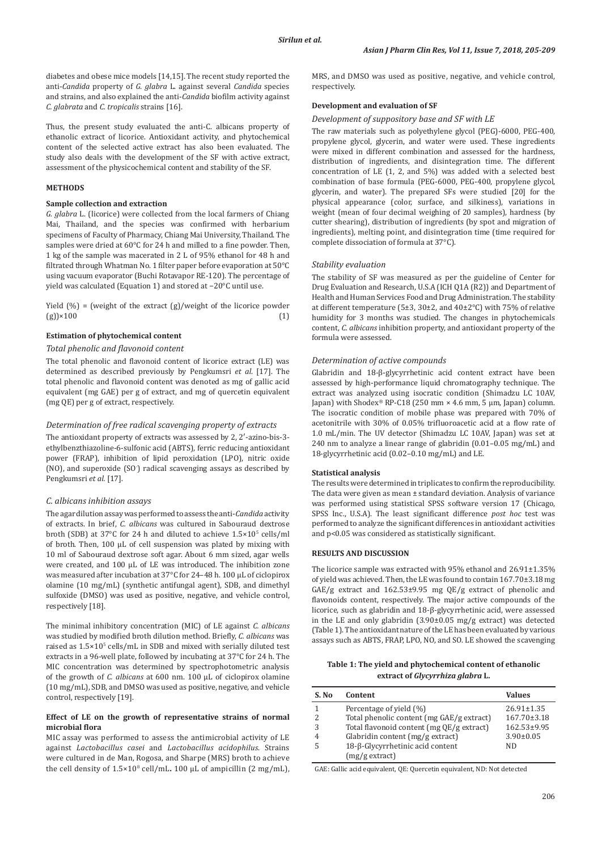diabetes and obese mice models [14,15]. The recent study reported the anti-*Candida* property of *G. glabra* L. against several *Candida* species and strains, and also explained the anti-*Candida* biofilm activity against *C. glabrata* and *C. tropicalis* strains [16].

Thus, the present study evaluated the anti-C. albicans property of ethanolic extract of licorice. Antioxidant activity, and phytochemical content of the selected active extract has also been evaluated. The study also deals with the development of the SF with active extract, assessment of the physicochemical content and stability of the SF.

### **METHODS**

### **Sample collection and extraction**

*G. glabra* L. (licorice) were collected from the local farmers of Chiang Mai, Thailand, and the species was confirmed with herbarium specimens of Faculty of Pharmacy, Chiang Mai University, Thailand. The samples were dried at 60°C for 24 h and milled to a fine powder. Then, 1 kg of the sample was macerated in 2 L of 95% ethanol for 48 h and filtrated through Whatman No. 1 filter paper before evaporation at 50°C using vacuum evaporator (Buchi Rotavapor RE-120). The percentage of yield was calculated (Equation 1) and stored at −20°C until use.

Yield (%) = (weight of the extract (g)/weight of the licorice powder (g)) $\times 100$  (1)  $(g)$ )×100 (1)

### **Estimation of phytochemical content**

## *Total phenolic and flavonoid content*

The total phenolic and flavonoid content of licorice extract (LE) was determined as described previously by Pengkumsri *et al*. [17]. The total phenolic and flavonoid content was denoted as mg of gallic acid equivalent (mg GAE) per g of extract, and mg of quercetin equivalent (mg QE) per g of extract, respectively.

#### *Determination of free radical scavenging property of extracts*

The antioxidant property of extracts was assessed by 2, 2′-azino-bis-3 ethylbenzthiazoline-6-sulfonic acid (ABTS), ferric reducing antioxidant power (FRAP), inhibition of lipid peroxidation (LPO), nitric oxide (NO), and superoxide (SO- ) radical scavenging assays as described by Pengkumsri *et al.* [17].

### *C. albicans inhibition assays*

The agar dilution assay was performed to assess the anti-*Candida* activity of extracts. In brief, *C. albicans* was cultured in Sabouraud dextrose broth (SDB) at 37°C for 24 h and diluted to achieve 1.5×10<sup>5</sup> cells/ml of broth. Then,  $100 \mu L$  of cell suspension was plated by mixing with 10 ml of Sabouraud dextrose soft agar. About 6 mm sized, agar wells were created, and 100 µL of LE was introduced. The inhibition zone was measured after incubation at 37°C for 24–48 h. 100 µL of ciclopirox olamine (10 mg/mL) (synthetic antifungal agent), SDB, and dimethyl sulfoxide (DMSO) was used as positive, negative, and vehicle control, respectively [18].

The minimal inhibitory concentration (MIC) of LE against *C. albicans*  was studied by modified broth dilution method. Briefly, *C. albicans* was raised as 1.5×10<sup>5</sup> cells/mL in SDB and mixed with serially diluted test extracts in a 96-well plate, followed by incubating at 37°C for 24 h. The MIC concentration was determined by spectrophotometric analysis of the growth of *C. albicans* at 600 nm. 100 µL of ciclopirox olamine (10 mg/mL), SDB, and DMSO was used as positive, negative, and vehicle control, respectively [19].

### **Effect of LE on the growth of representative strains of normal microbial flora**

MIC assay was performed to assess the antimicrobial activity of LE against *Lactobacillus casei* and *Lactobacillus acidophilus*. Strains were cultured in de Man, Rogosa, and Sharpe (MRS) broth to achieve the cell density of 1.5×10<sup>8</sup> cell/mL**.** 100 µL of ampicillin (2 mg/mL), MRS, and DMSO was used as positive, negative, and vehicle control, respectively.

### **Development and evaluation of SF**

### *Development of suppository base and SF with LE*

The raw materials such as polyethylene glycol (PEG)-6000, PEG-400, propylene glycol, glycerin, and water were used. These ingredients were mixed in different combination and assessed for the hardness, distribution of ingredients, and disintegration time. The different concentration of LE (1, 2, and 5%) was added with a selected best combination of base formula (PEG-6000, PEG-400, propylene glycol, glycerin, and water). The prepared SFs were studied [20] for the physical appearance (color, surface, and silkiness), variations in weight (mean of four decimal weighing of 20 samples), hardness (by cutter shearing), distribution of ingredients (by spot and migration of ingredients), melting point, and disintegration time (time required for complete dissociation of formula at 37°C).

#### *Stability evaluation*

The stability of SF was measured as per the guideline of Center for Drug Evaluation and Research, U.S.A (ICH Q1A (R2)) and Department of Health and Human Services Food and Drug Administration. The stability at different temperature (5±3, 30±2, and 40±2°C) with 75% of relative humidity for 3 months was studied. The changes in phytochemicals content, *C. albicans* inhibition property, and antioxidant property of the formula were assessed.

### *Determination of active compounds*

Glabridin and 18-β-glycyrrhetinic acid content extract have been assessed by high-performance liquid chromatography technique. The extract was analyzed using isocratic condition (Shimadzu LC 10AV, Japan) with Shodex<sup>®</sup> RP-C18 (250 mm  $\times$  4.6 mm, 5 µm, Japan) column. The isocratic condition of mobile phase was prepared with 70% of acetonitrile with 30% of 0.05% trifluoroacetic acid at a flow rate of 1.0 mL/min. The UV detector (Shimadzu LC 10AV, Japan) was set at 240 nm to analyze a linear range of glabridin (0.01–0.05 mg/mL) and 18-glycyrrhetinic acid (0.02–0.10 mg/mL) and LE.

#### **Statistical analysis**

The results were determined in triplicates to confirm the reproducibility. The data were given as mean ± standard deviation. Analysis of variance was performed using statistical SPSS software version 17 (Chicago, SPSS Inc., U.S.A). The least significant difference *post hoc* test was performed to analyze the significant differences in antioxidant activities and p<0.05 was considered as statistically significant.

### **RESULTS AND DISCUSSION**

The licorice sample was extracted with 95% ethanol and 26.91±1.35% of yield was achieved. Then, the LE was found to contain 167.70±3.18 mg GAE/g extract and 162.53±9.95 mg QE/g extract of phenolic and flavonoids content, respectively. The major active compounds of the licorice, such as glabridin and 18-β-glycyrrhetinic acid, were assessed in the LE and only glabridin (3.90±0.05 mg/g extract) was detected (Table 1). The antioxidant nature of the LE has been evaluated by various assays such as ABTS, FRAP, LPO, NO, and SO. LE showed the scavenging

**Table 1: The yield and phytochemical content of ethanolic extract of** *Glycyrrhiza glabra* **L.**

| S. No         | Content                                   | <b>Values</b>     |
|---------------|-------------------------------------------|-------------------|
|               | Percentage of yield (%)                   | $26.91 \pm 1.35$  |
| $\mathcal{L}$ | Total phenolic content (mg GAE/g extract) | $167.70 \pm 3.18$ |
| 3             | Total flavonoid content (mg QE/g extract) | 162.53±9.95       |
| 4             | Glabridin content (mg/g extract)          | $3.90 \pm 0.05$   |
| 5             | 18-β-Glycyrrhetinic acid content          | ND                |
|               | (mg/g extract)                            |                   |

GAE: Gallic acid equivalent, QE: Quercetin equivalent, ND: Not detected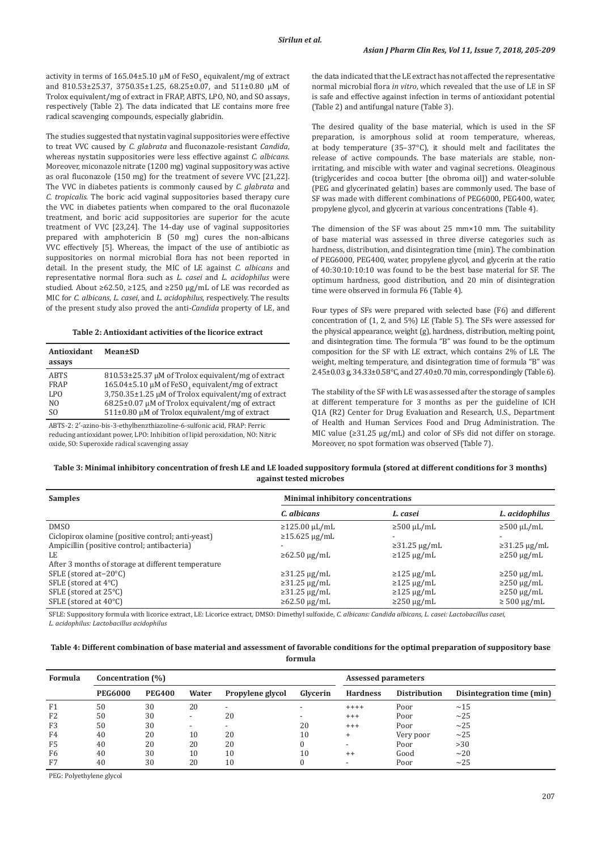activity in terms of  $165.04\pm5.10 \mu$ M of FeSO<sub>4</sub> equivalent/mg of extract and 810.53±25.37, 3750.35±1.25, 68.25±0.07, and 511±0.80 µM of Trolox equivalent/mg of extract in FRAP, ABTS, LPO, NO, and SO assays, respectively (Table 2). The data indicated that LE contains more free radical scavenging compounds, especially glabridin.

The studies suggested that nystatin vaginal suppositories were effective to treat VVC caused by *C. glabrata* and fluconazole-resistant *Candida*, whereas nystatin suppositories were less effective against *C. albicans.*  Moreover, miconazole nitrate (1200 mg) vaginal suppository was active as oral fluconazole (150 mg) for the treatment of severe VVC [21,22]. The VVC in diabetes patients is commonly caused by *C. glabrata* and *C. tropicalis*. The boric acid vaginal suppositories based therapy cure the VVC in diabetes patients when compared to the oral fluconazole treatment, and boric acid suppositories are superior for the acute treatment of VVC [23,24]. The 14-day use of vaginal suppositories prepared with amphotericin B (50 mg) cures the non-albicans VVC effectively [5]. Whereas, the impact of the use of antibiotic as suppositories on normal microbial flora has not been reported in detail. In the present study, the MIC of LE against *C. albicans* and representative normal flora such as *L. casei* and *L. acidophilus* were studied. About ≥62.50, ≥125, and ≥250 µg/mL of LE was recorded as MIC for *C. albicans*, *L. casei*, and *L. acidophilus*, respectively. The results of the present study also proved the anti-*Candida* property of LE, and

#### **Table 2: Antioxidant activities of the licorice extract**

| Antioxidant<br>Mean±SD<br>assays |                                                              |
|----------------------------------|--------------------------------------------------------------|
| <b>ABTS</b>                      | 810.53±25.37 µM of Trolox equivalent/mg of extract           |
| FRAP                             | 165.04±5.10 μM of FeSO <sub>4</sub> equivalent/mg of extract |
| LPO.                             | 3,750.35±1.25 µM of Trolox equivalent/mg of extract          |
| N <sub>O</sub>                   | $68.25\pm0.07$ µM of Trolox equivalent/mg of extract         |
| S <sub>O</sub>                   | $511\pm0.80$ µM of Trolox equivalent/mg of extract           |

ABTS‑2: 2′‑azino‑bis‑3‑ethylbenzthiazoline‑6‑sulfonic acid, FRAP: Ferric reducing antioxidant power, LPO: Inhibition of lipid peroxidation, NO: Nitric oxide, SO: Superoxide radical scavenging assay

the data indicated that the LE extract has not affected the representative normal microbial flora *in vitro*, which revealed that the use of LE in SF is safe and effective against infection in terms of antioxidant potential (Table 2) and antifungal nature (Table 3).

The desired quality of the base material, which is used in the SF preparation, is amorphous solid at room temperature, whereas, at body temperature (35–37°C), it should melt and facilitates the release of active compounds. The base materials are stable, nonirritating, and miscible with water and vaginal secretions. Oleaginous (triglycerides and cocoa butter [the obroma oil]) and water-soluble (PEG and glycerinated gelatin) bases are commonly used. The base of SF was made with different combinations of PEG6000, PEG400, water, propylene glycol, and glycerin at various concentrations (Table 4).

The dimension of the SF was about 25 mm×10 mm. The suitability of base material was assessed in three diverse categories such as hardness, distribution, and disintegration time (min). The combination of PEG6000, PEG400, water, propylene glycol, and glycerin at the ratio of 40:30:10:10:10 was found to be the best base material for SF. The optimum hardness, good distribution, and 20 min of disintegration time were observed in formula F6 (Table 4).

Four types of SFs were prepared with selected base (F6) and different concentration of (1, 2, and 5%) LE (Table 5). The SFs were assessed for the physical appearance, weight (g), hardness, distribution, melting point, and disintegration time. The formula "B" was found to be the optimum composition for the SF with LE extract, which contains 2% of LE. The weight, melting temperature, and disintegration time of formula "B" was 2.45±0.03 g, 34.33±0.58°C, and 27.40±0.70 min, correspondingly (Table 6).

The stability of the SF with LE was assessed after the storage of samples at different temperature for 3 months as per the guideline of ICH Q1A (R2) Center for Drug Evaluation and Research, U.S., Department of Health and Human Services Food and Drug Administration. The MIC value (≥31.25 µg/mL) and color of SFs did not differ on storage. Moreover, no spot formation was observed (Table 7).

## **Table 3: Minimal inhibitory concentration of fresh LE and LE loaded suppository formula (stored at different conditions for 3 months) against tested microbes**

| <b>Samples</b>                                     | <b>Minimal inhibitory concentrations</b> |                    |                     |  |  |  |
|----------------------------------------------------|------------------------------------------|--------------------|---------------------|--|--|--|
|                                                    | C. albicans                              | L. casei           | L. acidophilus      |  |  |  |
| <b>DMSO</b>                                        | $\geq$ 125.00 µL/mL                      | $\geq$ 500 µL/mL   | $\geq$ 500 µL/mL    |  |  |  |
| Ciclopirox olamine (positive control; anti-yeast)  | $\geq$ 15.625 µg/mL                      |                    |                     |  |  |  |
| Ampicillin (positive control; antibacteria)        |                                          | $\geq$ 31.25 µg/mL | $\geq$ 31.25 µg/mL  |  |  |  |
| LE                                                 | $\geq 62.50 \text{ µg/mL}$               | $\geq$ 125 µg/mL   | $\geq$ 250 µg/mL    |  |  |  |
| After 3 months of storage at different temperature |                                          |                    |                     |  |  |  |
| SFLE (stored at $-20^{\circ}$ C)                   | $\geq$ 31.25 µg/mL                       | $\geq$ 125 µg/mL   | $\geq$ 250 µg/mL    |  |  |  |
| SFLE (stored at $4^{\circ}$ C)                     | $\geq$ 31.25 µg/mL                       | $\geq$ 125 µg/mL   | $\geq$ 250 µg/mL    |  |  |  |
| SFLE (stored at 25°C)                              | $\geq$ 31.25 µg/mL                       | $\geq$ 125 µg/mL   | $\geq$ 250 µg/mL    |  |  |  |
| SFLE (stored at 40°C)                              | $\geq 62.50 \text{ µg/mL}$               | $\geq$ 250 µg/mL   | $\geq 500 \mu g/mL$ |  |  |  |

SFLE: Suppository formula with licorice extract, LE: Licorice extract, DMSO: Dimethyl sulfoxide, *C. albicans: Candida albicans, L. casei: Lactobacillus casei, L. acidophilus: Lactobacillus acidophilus*

**Table 4: Different combination of base material and assessment of favorable conditions for the optimal preparation of suppository base formula**

| Formula        | Concentration (%) |               |                          |                          | Assessed parameters      |                 |                     |                           |
|----------------|-------------------|---------------|--------------------------|--------------------------|--------------------------|-----------------|---------------------|---------------------------|
|                | <b>PEG6000</b>    | <b>PEG400</b> | Water                    | Propylene glycol         | Glycerin                 | <b>Hardness</b> | <b>Distribution</b> | Disintegration time (min) |
| F1             | 50                | 30            | 20                       | -                        | -                        | $+++++$         | Poor                | ~15                       |
| F <sub>2</sub> | 50                | 30            |                          | 20                       | $\overline{\phantom{a}}$ | $^{+++}$        | Poor                | ~25                       |
| F <sub>3</sub> | 50                | 30            | $\overline{\phantom{0}}$ | $\overline{\phantom{0}}$ | 20                       | $^{+++}$        | Poor                | ~25                       |
| F <sub>4</sub> | 40                | 20            | 10                       | 20                       | 10                       | ÷               | Very poor           | ~25                       |
| F <sub>5</sub> | 40                | 20            | 20                       | 20                       |                          | -               | Poor                | >30                       |
| F <sub>6</sub> | 40                | 30            | 10                       | 10                       | 10                       | $^{++}$         | Good                | ~20                       |
| F7             | 40                | 30            | 20                       | 10                       |                          | -               | Poor                | ~25                       |

PEG: Polyethylene glycol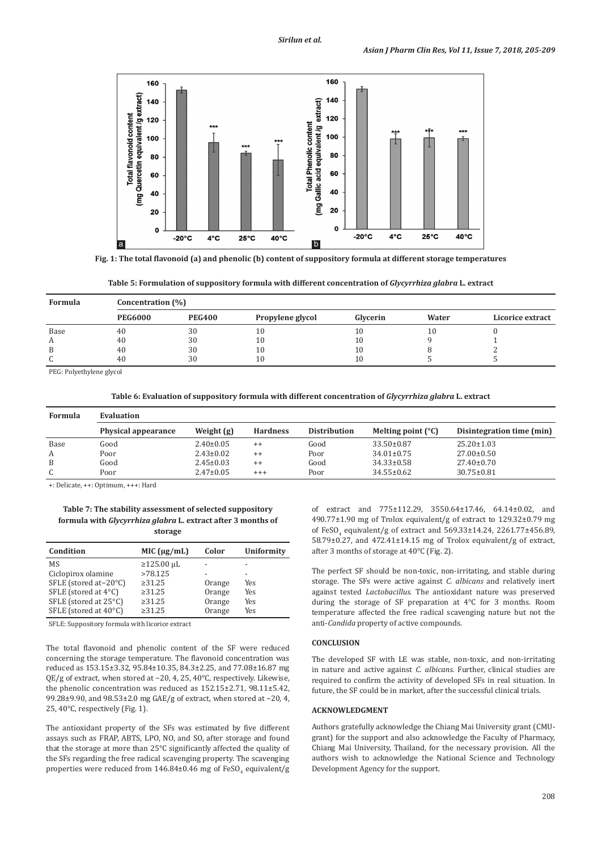

**Fig. 1: The total flavonoid (a) and phenolic (b) content of suppository formula at different storage temperatures**



| Formula | Concentration (%) |               |                  |          |       |                         |  |  |
|---------|-------------------|---------------|------------------|----------|-------|-------------------------|--|--|
|         | <b>PEG6000</b>    | <b>PEG400</b> | Propylene glycol | Glycerin | Water | <b>Licorice extract</b> |  |  |
| Base    | 40                | 30            | 10               | 10       | 10    |                         |  |  |
| A       | 40                | 30            | 10               | 10       |       |                         |  |  |
| B       | 40                | 30            | 10               | 10       |       |                         |  |  |
|         | 40                | 30            | 10               | 10       |       |                         |  |  |

PEG: Polyethylene glycol

### **Table 6: Evaluation of suppository formula with different concentration of** *Glycyrrhiza glabra* **L. extract**

| <b>Formula</b> | Evaluation          |                 |                 |                     |                             |                           |
|----------------|---------------------|-----------------|-----------------|---------------------|-----------------------------|---------------------------|
|                | Physical appearance | Weight (g)      | <b>Hardness</b> | <b>Distribution</b> | Melting point $(^{\circ}C)$ | Disintegration time (min) |
| Base           | Good                | $2.40 \pm 0.05$ | $^{++}$         | Good                | $33.50 \pm 0.87$            | $25.20 \pm 1.03$          |
| А              | Poor                | $2.43 \pm 0.02$ | $^{++}$         | Poor                | $34.01 \pm 0.75$            | $27.00 \pm 0.50$          |
| B              | Good                | $2.45 \pm 0.03$ | $^{++}$         | Good                | $34.33 \pm 0.58$            | $27.40 \pm 0.70$          |
| C              | Poor                | $2.47 \pm 0.05$ | $^{+++}$        | Poor                | $34.55 \pm 0.62$            | $30.75 \pm 0.81$          |

+: Delicate, ++: Optimum, +++: Hard

### **Table 7: The stability assessment of selected suppository formula with** *Glycyrrhiza glabra* **L. extract after 3 months of storage**

| Condition             | MIC $(\mu g/mL)$ | Color  | <b>Uniformity</b>        |
|-----------------------|------------------|--------|--------------------------|
| MS                    | $≥125.00 \mu L$  |        |                          |
| Ciclopirox olamine    | >78.125          |        | $\overline{\phantom{a}}$ |
| SFLE (stored at-20°C) | $\geq 31.25$     | Orange | Yes                      |
| SFLE (stored at 4°C)  | >31.25           | Orange | Yes                      |
| SFLE (stored at 25°C) | $\geq 31.25$     | Orange | Yes                      |
| SFLE (stored at 40°C) | $\geq 31.25$     | Orange | Yes                      |

SFLE: Suppository formula with licorice extract

The total flavonoid and phenolic content of the SF were reduced concerning the storage temperature. The flavonoid concentration was reduced as 153.15±3.32, 95.84±10.35, 84.3±2.25, and 77.08±16.87 mg QE/g of extract, when stored at −20, 4, 25, 40°C, respectively. Likewise, the phenolic concentration was reduced as 152.15±2.71, 98.11±5.42, 99.28±9.90, and 98.53±2.0 mg GAE/g of extract, when stored at −20, 4, 25, 40°C, respectively (Fig. 1).

The antioxidant property of the SFs was estimated by five different assays such as FRAP, ABTS, LPO, NO, and SO, after storage and found that the storage at more than 25°C significantly affected the quality of the SFs regarding the free radical scavenging property. The scavenging properties were reduced from  $146.84{\pm}0.46$  mg of FeSO $_4$  equivalent/g of extract and 775±112.29, 3550.64±17.46, 64.14±0.02, and 490.77±1.90 mg of Trolox equivalent/g of extract to 129.32±0.79 mg of FeSO<sub>4</sub> equivalent/g of extract and 569.33±14.24, 2261.77±456.89, 58.79±0.27, and 472.41±14.15 mg of Trolox equivalent/g of extract, after 3 months of storage at 40°C (Fig. 2).

The perfect SF should be non-toxic, non-irritating, and stable during storage. The SFs were active against *C. albicans* and relatively inert against tested *Lactobacillus*. The antioxidant nature was preserved during the storage of SF preparation at 4°C for 3 months. Room temperature affected the free radical scavenging nature but not the anti-*Candida* property of active compounds.

#### **CONCLUSION**

The developed SF with LE was stable, non-toxic, and non-irritating in nature and active against *C. albicans*. Further, clinical studies are required to confirm the activity of developed SFs in real situation. In future, the SF could be in market, after the successful clinical trials.

#### **ACKNOWLEDGMENT**

Authors gratefully acknowledge the Chiang Mai University grant (CMUgrant) for the support and also acknowledge the Faculty of Pharmacy, Chiang Mai University, Thailand, for the necessary provision. All the authors wish to acknowledge the National Science and Technology Development Agency for the support.